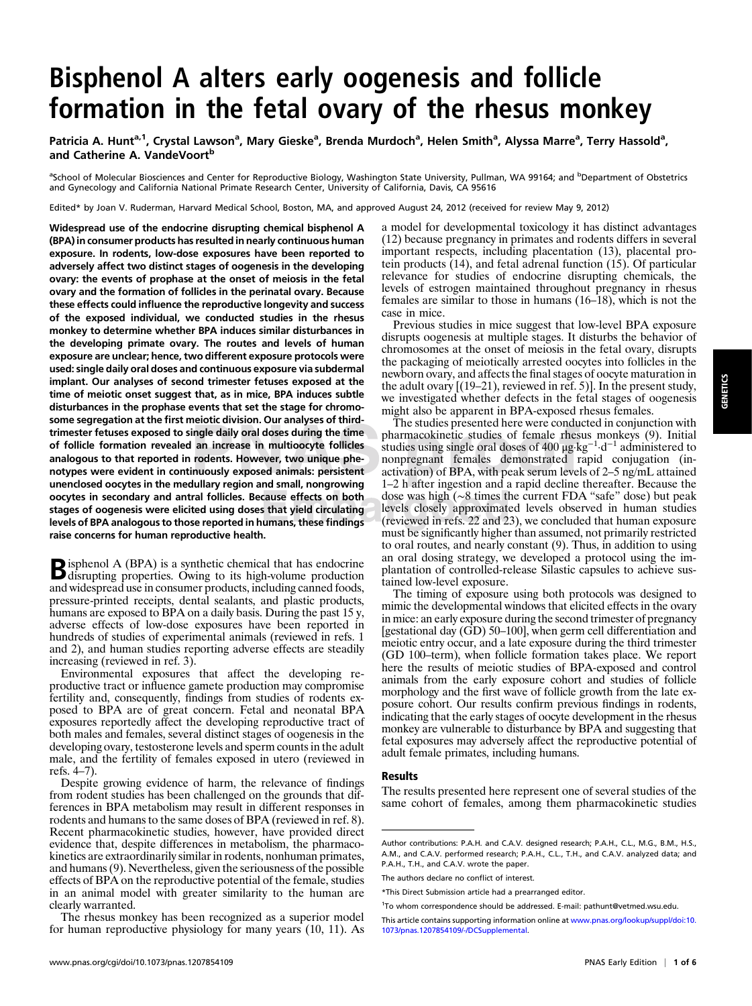## Bisphenol A alters early oogenesis and follicle formation in the fetal ovary of the rhesus monkey

Patricia A. Hunt<sup>a,1</sup>, Crystal Lawson<sup>a</sup>, Mary Gieske<sup>a</sup>, Brenda Murdoch<sup>a</sup>, Helen Smith<sup>a</sup>, Alyssa Marre<sup>a</sup>, Terry Hassold<sup>a</sup>, and Catherine A. VandeVoort<sup>b</sup>

<sup>a</sup>School of Molecular Biosciences and Center for Reproductive Biology, Washington State University, Pullman, WA 99164; and <sup>b</sup>Department of Obstetrics and Gynecology and California National Primate Research Center, University of California, Davis, CA 95616

Edited\* by Joan V. Ruderman, Harvard Medical School, Boston, MA, and approved August 24, 2012 (received for review May 9, 2012)

Widespread use of the endocrine disrupting chemical bisphenol A (BPA) in consumer products has resulted in nearly continuous human exposure. In rodents, low-dose exposures have been reported to adversely affect two distinct stages of oogenesis in the developing ovary: the events of prophase at the onset of meiosis in the fetal ovary and the formation of follicles in the perinatal ovary. Because these effects could influence the reproductive longevity and success of the exposed individual, we conducted studies in the rhesus monkey to determine whether BPA induces similar disturbances in the developing primate ovary. The routes and levels of human exposure are unclear; hence, two different exposure protocols were used: single daily oral doses and continuous exposure via subdermal implant. Our analyses of second trimester fetuses exposed at the time of meiotic onset suggest that, as in mice, BPA induces subtle disturbances in the prophase events that set the stage for chromosome segregation at the first meiotic division. Our analyses of thirdtrimester fetuses exposed to single daily oral doses during the time of follicle formation revealed an increase in multioocyte follicles analogous to that reported in rodents. However, two unique phenotypes were evident in continuously exposed animals: persistent unenclosed oocytes in the medullary region and small, nongrowing oocytes in secondary and antral follicles. Because effects on both stages of oogenesis were elicited using doses that yield circulating levels of BPA analogous to those reported in humans, these findings raise concerns for human reproductive health.

Bisphenol A (BPA) is a synthetic chemical that has endocrine disrupting properties. Owing to its high-volume production and widespread use in consumer products, including canned foods, pressure-printed receipts, dental sealants, and plastic products, humans are exposed to BPA on a daily basis. During the past 15 y, adverse effects of low-dose exposures have been reported in hundreds of studies of experimental animals (reviewed in refs. 1 and 2), and human studies reporting adverse effects are steadily increasing (reviewed in ref. 3).

Environmental exposures that affect the developing reproductive tract or influence gamete production may compromise fertility and, consequently, findings from studies of rodents exposed to BPA are of great concern. Fetal and neonatal BPA exposures reportedly affect the developing reproductive tract of both males and females, several distinct stages of oogenesis in the developing ovary, testosterone levels and sperm counts in the adult male, and the fertility of females exposed in utero (reviewed in refs. 4–7).

Despite growing evidence of harm, the relevance of findings from rodent studies has been challenged on the grounds that differences in BPA metabolism may result in different responses in rodents and humans to the same doses of BPA (reviewed in ref. 8). Recent pharmacokinetic studies, however, have provided direct evidence that, despite differences in metabolism, the pharmacokinetics are extraordinarily similar in rodents, nonhuman primates, and humans (9). Nevertheless, given the seriousness of the possible effects of BPA on the reproductive potential of the female, studies in an animal model with greater similarity to the human are clearly warranted.

The rhesus monkey has been recognized as a superior model for human reproductive physiology for many years (10, 11). As a model for developmental toxicology it has distinct advantages (12) because pregnancy in primates and rodents differs in several important respects, including placentation (13), placental protein products (14), and fetal adrenal function (15). Of particular relevance for studies of endocrine disrupting chemicals, the levels of estrogen maintained throughout pregnancy in rhesus females are similar to those in humans (16–18), which is not the case in mice.

Previous studies in mice suggest that low-level BPA exposure disrupts oogenesis at multiple stages. It disturbs the behavior of chromosomes at the onset of meiosis in the fetal ovary, disrupts the packaging of meiotically arrested oocytes into follicles in the newborn ovary, and affects the final stages of oocyte maturation in the adult ovary [(19–21), reviewed in ref. 5)]. In the present study, we investigated whether defects in the fetal stages of oogenesis might also be apparent in BPA-exposed rhesus females.

The studies presented here were conducted in conjunction with pharmacokinetic studies of female rhesus monkeys (9). Initial studies using single oral doses of 400 μg⋅kg<sup>-1</sup>⋅d<sup>-1</sup> administered to nonpregnant females demonstrated rapid conjugation (inactivation) of BPA, with peak serum levels of 2–5 ng/mL attained 1–2 h after ingestion and a rapid decline thereafter. Because the dose was high (∼8 times the current FDA "safe" dose) but peak levels closely approximated levels observed in human studies (reviewed in refs. 22 and 23), we concluded that human exposure must be significantly higher than assumed, not primarily restricted to oral routes, and nearly constant (9). Thus, in addition to using an oral dosing strategy, we developed a protocol using the implantation of controlled-release Silastic capsules to achieve sustained low-level exposure.

The timing of exposure using both protocols was designed to mimic the developmental windows that elicited effects in the ovary in mice: an early exposure during the second trimester of pregnancy [gestational day (GD) 50–100], when germ cell differentiation and meiotic entry occur, and a late exposure during the third trimester (GD 100–term), when follicle formation takes place. We report here the results of meiotic studies of BPA-exposed and control animals from the early exposure cohort and studies of follicle morphology and the first wave of follicle growth from the late exposure cohort. Our results confirm previous findings in rodents, indicating that the early stages of oocyte development in the rhesus monkey are vulnerable to disturbance by BPA and suggesting that fetal exposures may adversely affect the reproductive potential of adult female primates, including humans.

#### Results

The results presented here represent one of several studies of the same cohort of females, among them pharmacokinetic studies

Author contributions: P.A.H. and C.A.V. designed research; P.A.H., C.L., M.G., B.M., H.S., A.M., and C.A.V. performed research; P.A.H., C.L., T.H., and C.A.V. analyzed data; and P.A.H., T.H., and C.A.V. wrote the paper.

The authors declare no conflict of interest.

<sup>\*</sup>This Direct Submission article had a prearranged editor.

<sup>&</sup>lt;sup>1</sup>To whom correspondence should be addressed. E-mail: [pathunt@vetmed.wsu.edu.](mailto:pathunt@vetmed.wsu.edu)

This article contains supporting information online at [www.pnas.org/lookup/suppl/doi:10.](http://www.pnas.org/lookup/suppl/doi:10.1073/pnas.1207854109/-/DCSupplemental) [1073/pnas.1207854109/-/DCSupplemental](http://www.pnas.org/lookup/suppl/doi:10.1073/pnas.1207854109/-/DCSupplemental).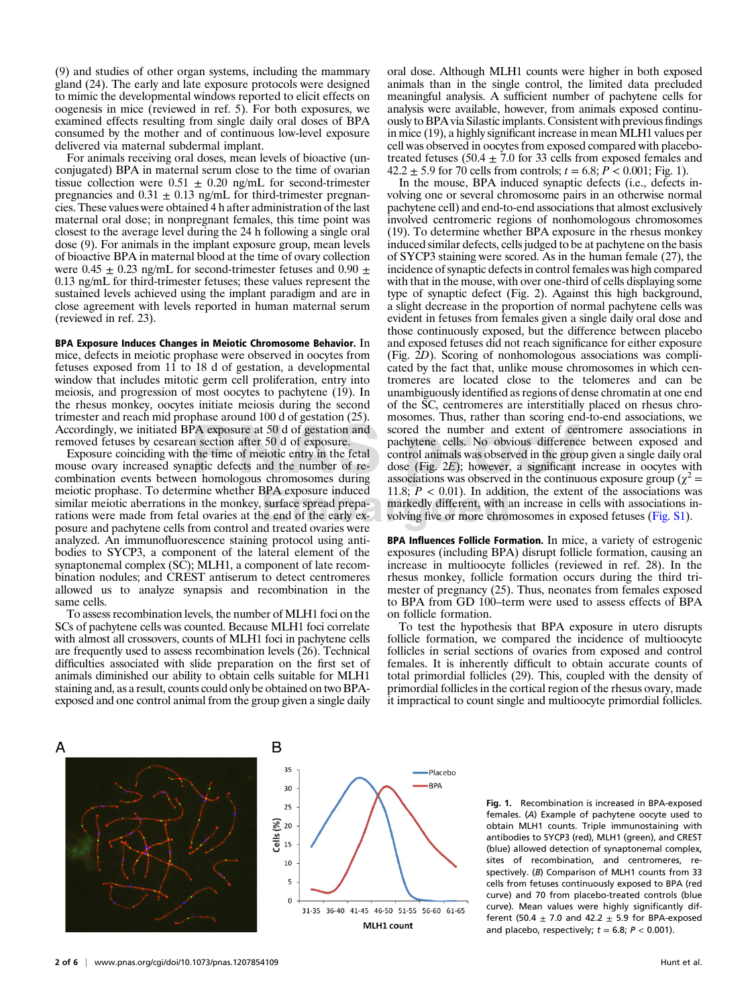(9) and studies of other organ systems, including the mammary gland (24). The early and late exposure protocols were designed to mimic the developmental windows reported to elicit effects on oogenesis in mice (reviewed in ref. 5). For both exposures, we examined effects resulting from single daily oral doses of BPA consumed by the mother and of continuous low-level exposure delivered via maternal subdermal implant.

For animals receiving oral doses, mean levels of bioactive (unconjugated) BPA in maternal serum close to the time of ovarian tissue collection were  $0.51 \pm 0.20$  ng/mL for second-trimester pregnancies and  $0.31 \pm 0.13$  ng/mL for third-trimester pregnancies. These values were obtained 4 h after administration of the last maternal oral dose; in nonpregnant females, this time point was closest to the average level during the 24 h following a single oral dose (9). For animals in the implant exposure group, mean levels of bioactive BPA in maternal blood at the time of ovary collection were 0.45  $\pm$  0.23 ng/mL for second-trimester fetuses and 0.90  $\pm$ 0.13 ng/mL for third-trimester fetuses; these values represent the sustained levels achieved using the implant paradigm and are in close agreement with levels reported in human maternal serum (reviewed in ref. 23).

BPA Exposure Induces Changes in Meiotic Chromosome Behavior. In mice, defects in meiotic prophase were observed in oocytes from fetuses exposed from 11 to 18 d of gestation, a developmental window that includes mitotic germ cell proliferation, entry into meiosis, and progression of most oocytes to pachytene (19). In the rhesus monkey, oocytes initiate meiosis during the second trimester and reach mid prophase around 100 d of gestation (25). Accordingly, we initiated BPA exposure at 50 d of gestation and removed fetuses by cesarean section after 50 d of exposure.

Exposure coinciding with the time of meiotic entry in the fetal mouse ovary increased synaptic defects and the number of recombination events between homologous chromosomes during meiotic prophase. To determine whether BPA exposure induced similar meiotic aberrations in the monkey, surface spread preparations were made from fetal ovaries at the end of the early exposure and pachytene cells from control and treated ovaries were analyzed. An immunofluorescence staining protocol using antibodies to SYCP3, a component of the lateral element of the synaptonemal complex (SC); MLH1, a component of late recombination nodules; and CREST antiserum to detect centromeres allowed us to analyze synapsis and recombination in the same cells.

To assess recombination levels, the number of MLH1 foci on the SCs of pachytene cells was counted. Because MLH1 foci correlate with almost all crossovers, counts of MLH1 foci in pachytene cells are frequently used to assess recombination levels (26). Technical difficulties associated with slide preparation on the first set of animals diminished our ability to obtain cells suitable for MLH1 staining and, as a result, counts could only be obtained on two BPAexposed and one control animal from the group given a single daily oral dose. Although MLH1 counts were higher in both exposed animals than in the single control, the limited data precluded meaningful analysis. A sufficient number of pachytene cells for analysis were available, however, from animals exposed continuously to BPA via Silastic implants. Consistent with previous findings in mice (19), a highly significant increase in mean MLH1 values per cell was observed in oocytes from exposed compared with placebotreated fetuses (50.4  $\pm$  7.0 for 33 cells from exposed females and  $42.2 \pm 5.9$  for 70 cells from controls;  $t = 6.8$ ;  $P < 0.001$ ; Fig. 1).

In the mouse, BPA induced synaptic defects (i.e., defects involving one or several chromosome pairs in an otherwise normal pachytene cell) and end-to-end associations that almost exclusively involved centromeric regions of nonhomologous chromosomes (19). To determine whether BPA exposure in the rhesus monkey induced similar defects, cells judged to be at pachytene on the basis of SYCP3 staining were scored. As in the human female (27), the incidence of synaptic defects in control females was high compared with that in the mouse, with over one-third of cells displaying some type of synaptic defect (Fig. 2). Against this high background, a slight decrease in the proportion of normal pachytene cells was evident in fetuses from females given a single daily oral dose and those continuously exposed, but the difference between placebo and exposed fetuses did not reach significance for either exposure (Fig. 2D). Scoring of nonhomologous associations was complicated by the fact that, unlike mouse chromosomes in which centromeres are located close to the telomeres and can be unambiguously identified as regions of dense chromatin at one end of the SC, centromeres are interstitially placed on rhesus chromosomes. Thus, rather than scoring end-to-end associations, we scored the number and extent of centromere associations in pachytene cells. No obvious difference between exposed and control animals was observed in the group given a single daily oral dose (Fig. 2E); however, a significant increase in oocytes with associations was observed in the continuous exposure group ( $\chi^2$  = 11.8;  $P < 0.01$ ). In addition, the extent of the associations was markedly different, with an increase in cells with associations in-volving five or more chromosomes in exposed fetuses [\(Fig. S1](http://www.pnas.org/lookup/suppl/doi:10.1073/pnas.1207854109/-/DCSupplemental/pnas.201207854SI.pdf?targetid=nameddest=SF1)).

BPA Influences Follicle Formation. In mice, a variety of estrogenic exposures (including BPA) disrupt follicle formation, causing an increase in multioocyte follicles (reviewed in ref. 28). In the rhesus monkey, follicle formation occurs during the third trimester of pregnancy (25). Thus, neonates from females exposed to BPA from GD 100–term were used to assess effects of BPA on follicle formation.

To test the hypothesis that BPA exposure in utero disrupts follicle formation, we compared the incidence of multioocyte follicles in serial sections of ovaries from exposed and control females. It is inherently difficult to obtain accurate counts of total primordial follicles (29). This, coupled with the density of primordial follicles in the cortical region of the rhesus ovary, made it impractical to count single and multioocyte primordial follicles.



Fig. 1. Recombination is increased in BPA-exposed females. (A) Example of pachytene oocyte used to obtain MLH1 counts. Triple immunostaining with antibodies to SYCP3 (red), MLH1 (green), and CREST (blue) allowed detection of synaptonemal complex, sites of recombination, and centromeres, respectively. (B) Comparison of MLH1 counts from 33 cells from fetuses continuously exposed to BPA (red curve) and 70 from placebo-treated controls (blue curve). Mean values were highly significantly different (50.4  $\pm$  7.0 and 42.2  $\pm$  5.9 for BPA-exposed and placebo, respectively;  $t = 6.8$ ;  $P < 0.001$ ).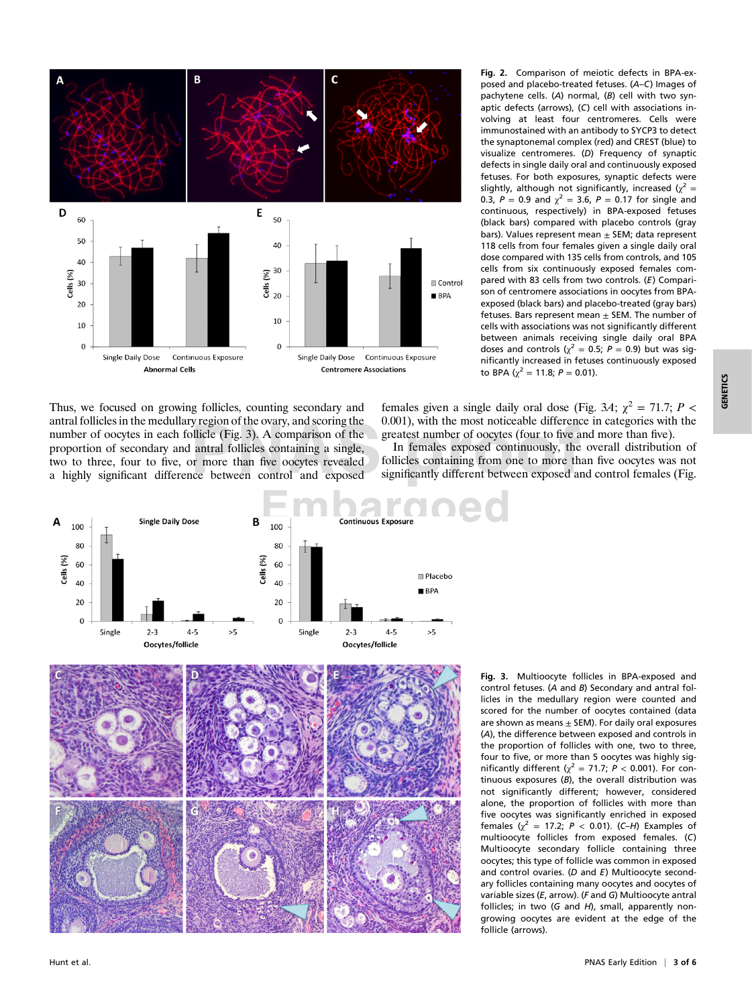

Thus, we focused on growing follicles, counting secondary and antral follicles in the medullary region of the ovary, and scoring the number of oocytes in each follicle (Fig. 3). A comparison of the proportion of secondary and antral follicles containing a single, two to three, four to five, or more than five oocytes revealed a highly significant difference between control and exposed

Fig. 2. Comparison of meiotic defects in BPA-exposed and placebo-treated fetuses. (A–C) Images of pachytene cells. (A) normal, (B) cell with two synaptic defects (arrows), (C) cell with associations involving at least four centromeres. Cells were immunostained with an antibody to SYCP3 to detect the synaptonemal complex (red) and CREST (blue) to visualize centromeres. (D) Frequency of synaptic defects in single daily oral and continuously exposed fetuses. For both exposures, synaptic defects were slightly, although not significantly, increased ( $\chi^2$  = 0.3,  $P = 0.9$  and  $\chi^2 = 3.6$ ,  $P = 0.17$  for single and continuous, respectively) in BPA-exposed fetuses (black bars) compared with placebo controls (gray bars). Values represent mean  $\pm$  SEM; data represent 118 cells from four females given a single daily oral dose compared with 135 cells from controls, and 105 cells from six continuously exposed females compared with 83 cells from two controls. (E) Comparison of centromere associations in oocytes from BPAexposed (black bars) and placebo-treated (gray bars) fetuses. Bars represent mean  $\pm$  SEM. The number of cells with associations was not significantly different between animals receiving single daily oral BPA doses and controls ( $\chi^2$  = 0.5; P = 0.9) but was significantly increased in fetuses continuously exposed to BPA  $(\chi^2 = 11.8; P = 0.01)$ .

females given a single daily oral dose (Fig. 3A;  $\chi^2 = 71.7$ ;  $P <$ 0.001), with the most noticeable difference in categories with the greatest number of oocytes (four to five and more than five).

In females exposed continuously, the overall distribution of follicles containing from one to more than five oocytes was not significantly different between exposed and control females (Fig.



Fig. 3. Multioocyte follicles in BPA-exposed and control fetuses. (A and B) Secondary and antral follicles in the medullary region were counted and scored for the number of oocytes contained (data are shown as means  $\pm$  SEM). For daily oral exposures (A), the difference between exposed and controls in the proportion of follicles with one, two to three, four to five, or more than 5 oocytes was highly significantly different ( $\chi^2$  = 71.7; P < 0.001). For continuous exposures  $(B)$ , the overall distribution was not significantly different; however, considered alone, the proportion of follicles with more than five oocytes was significantly enriched in exposed females  $(\chi^2 = 17.2; P < 0.01)$ . (C-H) Examples of multioocyte follicles from exposed females. (C) Multioocyte secondary follicle containing three oocytes; this type of follicle was common in exposed and control ovaries. ( $D$  and  $E$ ) Multioocyte secondary follicles containing many oocytes and oocytes of variable sizes (E, arrow). (F and G) Multioocyte antral follicles; in two (G and  $H$ ), small, apparently nongrowing oocytes are evident at the edge of the follicle (arrows).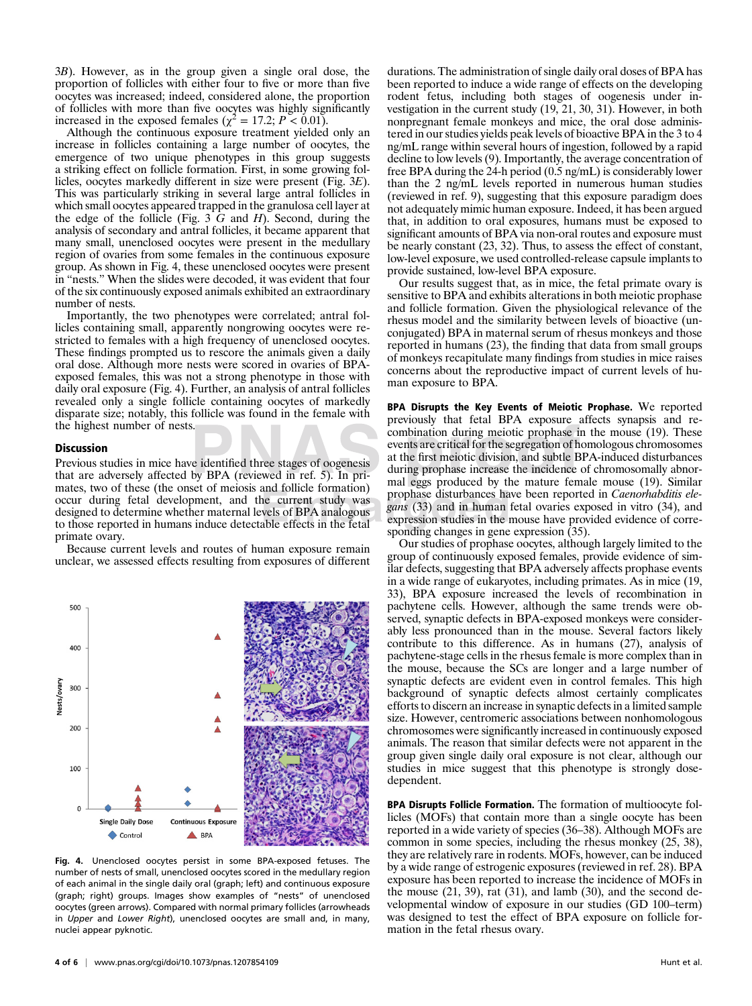3B). However, as in the group given a single oral dose, the proportion of follicles with either four to five or more than five oocytes was increased; indeed, considered alone, the proportion of follicles with more than five oocytes was highly significantly increased in the exposed females ( $\chi^2 = 17.2$ ;  $P < 0.01$ ).

Although the continuous exposure treatment yielded only an increase in follicles containing a large number of oocytes, the emergence of two unique phenotypes in this group suggests a striking effect on follicle formation. First, in some growing follicles, oocytes markedly different in size were present (Fig. 3E). This was particularly striking in several large antral follicles in which small oocytes appeared trapped in the granulosa cell layer at the edge of the follicle (Fig.  $3\hat{G}$  and H). Second, during the analysis of secondary and antral follicles, it became apparent that many small, unenclosed oocytes were present in the medullary region of ovaries from some females in the continuous exposure group. As shown in Fig. 4, these unenclosed oocytes were present in "nests." When the slides were decoded, it was evident that four of the six continuously exposed animals exhibited an extraordinary number of nests.

Importantly, the two phenotypes were correlated; antral follicles containing small, apparently nongrowing oocytes were restricted to females with a high frequency of unenclosed oocytes. These findings prompted us to rescore the animals given a daily oral dose. Although more nests were scored in ovaries of BPAexposed females, this was not a strong phenotype in those with daily oral exposure (Fig. 4). Further, an analysis of antral follicles revealed only a single follicle containing oocytes of markedly disparate size; notably, this follicle was found in the female with the highest number of nests.

#### Discussion

Previous studies in mice have identified three stages of oogenesis that are adversely affected by BPA (reviewed in ref. 5). In primates, two of these (the onset of meiosis and follicle formation) occur during fetal development, and the current study was designed to determine whether maternal levels of BPA analogous to those reported in humans induce detectable effects in the fetal primate ovary.

Because current levels and routes of human exposure remain unclear, we assessed effects resulting from exposures of different



Fig. 4. Unenclosed oocytes persist in some BPA-exposed fetuses. The number of nests of small, unenclosed oocytes scored in the medullary region of each animal in the single daily oral (graph; left) and continuous exposure (graph; right) groups. Images show examples of "nests" of unenclosed oocytes (green arrows). Compared with normal primary follicles (arrowheads in Upper and Lower Right), unenclosed oocytes are small and, in many, nuclei appear pyknotic.

durations. The administration of single daily oral doses of BPA has been reported to induce a wide range of effects on the developing rodent fetus, including both stages of oogenesis under investigation in the current study (19, 21, 30, 31). However, in both nonpregnant female monkeys and mice, the oral dose administered in our studies yields peak levels of bioactive BPA in the 3 to 4 ng/mL range within several hours of ingestion, followed by a rapid decline to low levels (9). Importantly, the average concentration of free BPA during the 24-h period (0.5 ng/mL) is considerably lower than the 2 ng/mL levels reported in numerous human studies (reviewed in ref. 9), suggesting that this exposure paradigm does not adequately mimic human exposure. Indeed, it has been argued that, in addition to oral exposures, humans must be exposed to significant amounts of BPA via non-oral routes and exposure must be nearly constant (23, 32). Thus, to assess the effect of constant, low-level exposure, we used controlled-release capsule implants to provide sustained, low-level BPA exposure.

Our results suggest that, as in mice, the fetal primate ovary is sensitive to BPA and exhibits alterations in both meiotic prophase and follicle formation. Given the physiological relevance of the rhesus model and the similarity between levels of bioactive (unconjugated) BPA in maternal serum of rhesus monkeys and those reported in humans (23), the finding that data from small groups of monkeys recapitulate many findings from studies in mice raises concerns about the reproductive impact of current levels of human exposure to BPA.

BPA Disrupts the Key Events of Meiotic Prophase. We reported previously that fetal BPA exposure affects synapsis and recombination during meiotic prophase in the mouse (19). These events are critical for the segregation of homologous chromosomes at the first meiotic division, and subtle BPA-induced disturbances during prophase increase the incidence of chromosomally abnormal eggs produced by the mature female mouse (19). Similar prophase disturbances have been reported in Caenorhabditis elegans (33) and in human fetal ovaries exposed in vitro (34), and expression studies in the mouse have provided evidence of corresponding changes in gene expression (35).

Our studies of prophase oocytes, although largely limited to the group of continuously exposed females, provide evidence of similar defects, suggesting that BPA adversely affects prophase events in a wide range of eukaryotes, including primates. As in mice (19, 33), BPA exposure increased the levels of recombination in pachytene cells. However, although the same trends were observed, synaptic defects in BPA-exposed monkeys were considerably less pronounced than in the mouse. Several factors likely contribute to this difference. As in humans (27), analysis of pachytene-stage cells in the rhesus female is more complex than in the mouse, because the SCs are longer and a large number of synaptic defects are evident even in control females. This high background of synaptic defects almost certainly complicates efforts to discern an increase in synaptic defects in a limited sample size. However, centromeric associations between nonhomologous chromosomes were significantly increased in continuously exposed animals. The reason that similar defects were not apparent in the group given single daily oral exposure is not clear, although our studies in mice suggest that this phenotype is strongly dosedependent.

BPA Disrupts Follicle Formation. The formation of multioocyte follicles (MOFs) that contain more than a single oocyte has been reported in a wide variety of species (36–38). Although MOFs are common in some species, including the rhesus monkey (25, 38), they are relatively rare in rodents. MOFs, however, can be induced by a wide range of estrogenic exposures (reviewed in ref. 28). BPA exposure has been reported to increase the incidence of MOFs in the mouse  $(21, 39)$ , rat  $(31)$ , and lamb  $(30)$ , and the second developmental window of exposure in our studies (GD 100–term) was designed to test the effect of BPA exposure on follicle formation in the fetal rhesus ovary.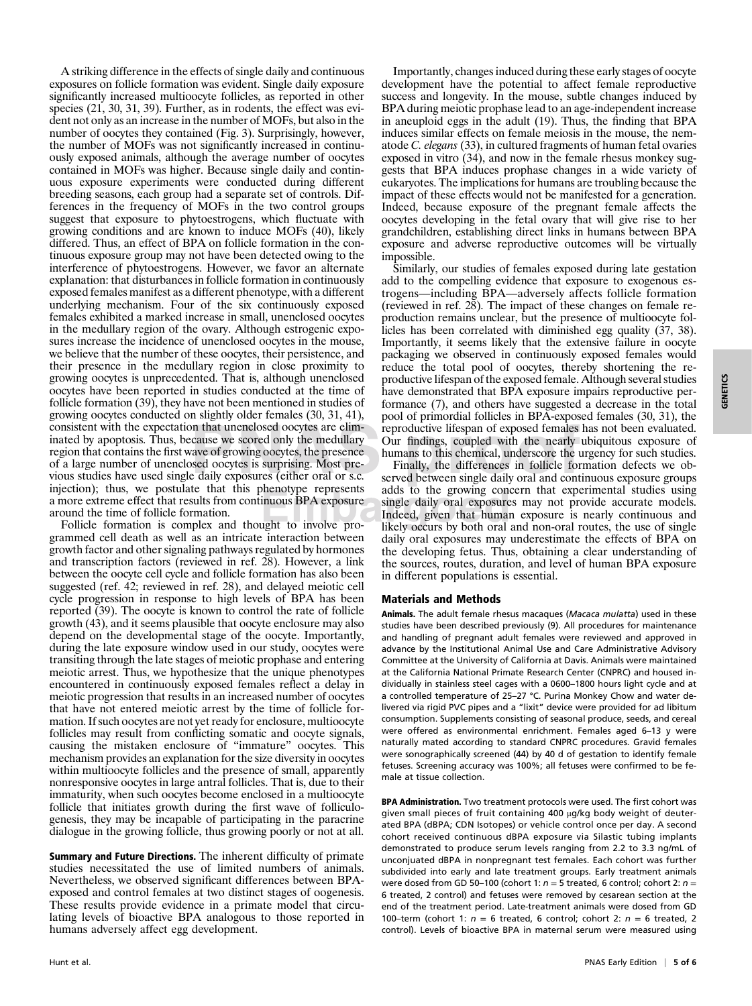A striking difference in the effects of single daily and continuous exposures on follicle formation was evident. Single daily exposure significantly increased multioocyte follicles, as reported in other species (21, 30, 31, 39). Further, as in rodents, the effect was evident not only as an increase in the number of MOFs, but also in the number of oocytes they contained (Fig. 3). Surprisingly, however, the number of MOFs was not significantly increased in continuously exposed animals, although the average number of oocytes contained in MOFs was higher. Because single daily and continuous exposure experiments were conducted during different breeding seasons, each group had a separate set of controls. Differences in the frequency of MOFs in the two control groups suggest that exposure to phytoestrogens, which fluctuate with growing conditions and are known to induce MOFs (40), likely differed. Thus, an effect of BPA on follicle formation in the continuous exposure group may not have been detected owing to the interference of phytoestrogens. However, we favor an alternate explanation: that disturbances in follicle formation in continuously exposed females manifest as a different phenotype, with a different underlying mechanism. Four of the six continuously exposed females exhibited a marked increase in small, unenclosed oocytes in the medullary region of the ovary. Although estrogenic exposures increase the incidence of unenclosed oocytes in the mouse, we believe that the number of these oocytes, their persistence, and their presence in the medullary region in close proximity to growing oocytes is unprecedented. That is, although unenclosed oocytes have been reported in studies conducted at the time of follicle formation (39), they have not been mentioned in studies of growing oocytes conducted on slightly older females (30, 31, 41), consistent with the expectation that unenclosed oocytes are eliminated by apoptosis. Thus, because we scored only the medullary region that contains the first wave of growing oocytes, the presence of a large number of unenclosed oocytes is surprising. Most previous studies have used single daily exposures (either oral or s.c. injection); thus, we postulate that this phenotype represents a more extreme effect that results from continuous BPA exposure around the time of follicle formation.

Follicle formation is complex and thought to involve programmed cell death as well as an intricate interaction between growth factor and other signaling pathways regulated by hormones and transcription factors (reviewed in ref. 28). However, a link between the oocyte cell cycle and follicle formation has also been suggested (ref. 42; reviewed in ref. 28), and delayed meiotic cell cycle progression in response to high levels of BPA has been reported (39). The oocyte is known to control the rate of follicle growth (43), and it seems plausible that oocyte enclosure may also depend on the developmental stage of the oocyte. Importantly, during the late exposure window used in our study, oocytes were transiting through the late stages of meiotic prophase and entering meiotic arrest. Thus, we hypothesize that the unique phenotypes encountered in continuously exposed females reflect a delay in meiotic progression that results in an increased number of oocytes that have not entered meiotic arrest by the time of follicle formation. If such oocytes are not yet ready for enclosure, multioocyte follicles may result from conflicting somatic and oocyte signals, causing the mistaken enclosure of "immature" oocytes. This mechanism provides an explanation for the size diversity in oocytes within multioocyte follicles and the presence of small, apparently nonresponsive oocytes in large antral follicles. That is, due to their immaturity, when such oocytes become enclosed in a multioocyte follicle that initiates growth during the first wave of folliculogenesis, they may be incapable of participating in the paracrine dialogue in the growing follicle, thus growing poorly or not at all.

Summary and Future Directions. The inherent difficulty of primate studies necessitated the use of limited numbers of animals. Nevertheless, we observed significant differences between BPAexposed and control females at two distinct stages of oogenesis. These results provide evidence in a primate model that circulating levels of bioactive BPA analogous to those reported in humans adversely affect egg development.

Importantly, changes induced during these early stages of oocyte development have the potential to affect female reproductive success and longevity. In the mouse, subtle changes induced by BPA during meiotic prophase lead to an age-independent increase in aneuploid eggs in the adult (19). Thus, the finding that BPA induces similar effects on female meiosis in the mouse, the nematode C. elegans (33), in cultured fragments of human fetal ovaries exposed in vitro (34), and now in the female rhesus monkey suggests that BPA induces prophase changes in a wide variety of eukaryotes. The implications for humans are troubling because the impact of these effects would not be manifested for a generation. Indeed, because exposure of the pregnant female affects the oocytes developing in the fetal ovary that will give rise to her grandchildren, establishing direct links in humans between BPA exposure and adverse reproductive outcomes will be virtually impossible.

Similarly, our studies of females exposed during late gestation add to the compelling evidence that exposure to exogenous estrogens—including BPA—adversely affects follicle formation (reviewed in ref. 28). The impact of these changes on female reproduction remains unclear, but the presence of multioocyte follicles has been correlated with diminished egg quality (37, 38). Importantly, it seems likely that the extensive failure in oocyte packaging we observed in continuously exposed females would reduce the total pool of oocytes, thereby shortening the reproductive lifespan of the exposed female. Although several studies have demonstrated that BPA exposure impairs reproductive performance (7), and others have suggested a decrease in the total pool of primordial follicles in BPA-exposed females (30, 31), the reproductive lifespan of exposed females has not been evaluated. Our findings, coupled with the nearly ubiquitous exposure of humans to this chemical, underscore the urgency for such studies.

Finally, the differences in follicle formation defects we observed between single daily oral and continuous exposure groups adds to the growing concern that experimental studies using single daily oral exposures may not provide accurate models. Indeed, given that human exposure is nearly continuous and likely occurs by both oral and non-oral routes, the use of single daily oral exposures may underestimate the effects of BPA on the developing fetus. Thus, obtaining a clear understanding of the sources, routes, duration, and level of human BPA exposure in different populations is essential.

#### Materials and Methods

Animals. The adult female rhesus macaques (Macaca mulatta) used in these studies have been described previously (9). All procedures for maintenance and handling of pregnant adult females were reviewed and approved in advance by the Institutional Animal Use and Care Administrative Advisory Committee at the University of California at Davis. Animals were maintained at the California National Primate Research Center (CNPRC) and housed individually in stainless steel cages with a 0600–1800 hours light cycle and at a controlled temperature of 25–27 °C. Purina Monkey Chow and water delivered via rigid PVC pipes and a "lixit" device were provided for ad libitum consumption. Supplements consisting of seasonal produce, seeds, and cereal were offered as environmental enrichment. Females aged 6–13 y were naturally mated according to standard CNPRC procedures. Gravid females were sonographically screened (44) by 40 d of gestation to identify female fetuses. Screening accuracy was 100%; all fetuses were confirmed to be female at tissue collection.

BPA Administration. Two treatment protocols were used. The first cohort was given small pieces of fruit containing 400 μg/kg body weight of deuterated BPA (dBPA; CDN Isotopes) or vehicle control once per day. A second cohort received continuous dBPA exposure via Silastic tubing implants demonstrated to produce serum levels ranging from 2.2 to 3.3 ng/mL of unconjuated dBPA in nonpregnant test females. Each cohort was further subdivided into early and late treatment groups. Early treatment animals were dosed from GD 50–100 (cohort 1:  $n = 5$  treated, 6 control; cohort 2:  $n =$ 6 treated, 2 control) and fetuses were removed by cesarean section at the end of the treatment period. Late-treatment animals were dosed from GD 100–term (cohort 1:  $n = 6$  treated, 6 control; cohort 2:  $n = 6$  treated, 2 control). Levels of bioactive BPA in maternal serum were measured using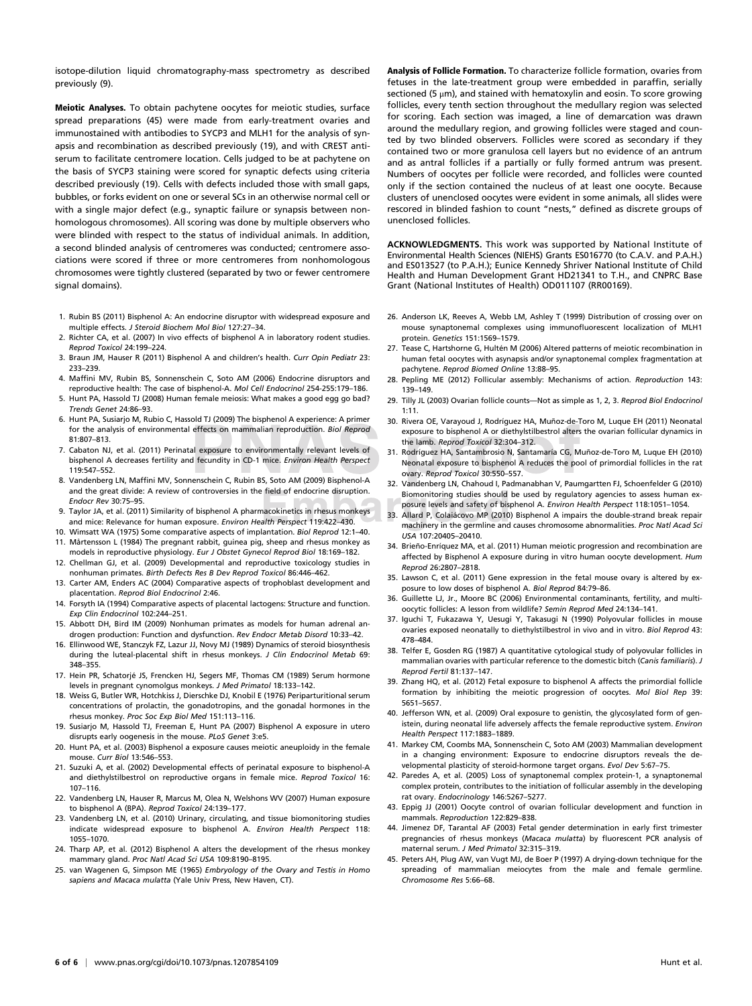isotope-dilution liquid chromatography-mass spectrometry as described previously (9).

Meiotic Analyses. To obtain pachytene oocytes for meiotic studies, surface spread preparations (45) were made from early-treatment ovaries and immunostained with antibodies to SYCP3 and MLH1 for the analysis of synapsis and recombination as described previously (19), and with CREST antiserum to facilitate centromere location. Cells judged to be at pachytene on the basis of SYCP3 staining were scored for synaptic defects using criteria described previously (19). Cells with defects included those with small gaps, bubbles, or forks evident on one or several SCs in an otherwise normal cell or with a single major defect (e.g., synaptic failure or synapsis between nonhomologous chromosomes). All scoring was done by multiple observers who were blinded with respect to the status of individual animals. In addition, a second blinded analysis of centromeres was conducted; centromere associations were scored if three or more centromeres from nonhomologous chromosomes were tightly clustered (separated by two or fewer centromere signal domains).

- 1. Rubin BS (2011) Bisphenol A: An endocrine disruptor with widespread exposure and multiple effects. J Steroid Biochem Mol Biol 127:27–34.
- 2. Richter CA, et al. (2007) In vivo effects of bisphenol A in laboratory rodent studies. Reprod Toxicol 24:199–224.
- 3. Braun JM, Hauser R (2011) Bisphenol A and children's health. Curr Opin Pediatr 23: 233–239.
- 4. Maffini MV, Rubin BS, Sonnenschein C, Soto AM (2006) Endocrine disruptors and reproductive health: The case of bisphenol-A. Mol Cell Endocrinol 254-255:179–186.
- 5. Hunt PA, Hassold TJ (2008) Human female meiosis: What makes a good egg go bad? Trends Genet 24:86–93.
- 6. Hunt PA, Susiarjo M, Rubio C, Hassold TJ (2009) The bisphenol A experience: A primer for the analysis of environmental effects on mammalian reproduction. Biol Reprod 81:807–813.
- 7. Cabaton NJ, et al. (2011) Perinatal exposure to environmentally relevant levels of bisphenol A decreases fertility and fecundity in CD-1 mice. Environ Health Perspect 119:547–552.
- 8. Vandenberg LN, Maffini MV, Sonnenschein C, Rubin BS, Soto AM (2009) Bisphenol-A and the great divide: A review of controversies in the field of endocrine disruption. Endocr Rev 30:75–95.
- 9. Taylor JA, et al. (2011) Similarity of bisphenol A pharmacokinetics in rhesus monkeys and mice: Relevance for human exposure. Environ Health Perspect 119:422–430.
- 10. Wimsatt WA (1975) Some comparative aspects of implantation. Biol Reprod 12:1–40. 11. Mårtensson L (1984) The pregnant rabbit, guinea pig, sheep and rhesus monkey as
- models in reproductive physiology. Eur J Obstet Gynecol Reprod Biol 18:169–182. 12. Chellman GJ, et al. (2009) Developmental and reproductive toxicology studies in
- nonhuman primates. Birth Defects Res B Dev Reprod Toxicol 86:446–462. 13. Carter AM, Enders AC (2004) Comparative aspects of trophoblast development and
- placentation. Reprod Biol Endocrinol 2:46.
- 14. Forsyth IA (1994) Comparative aspects of placental lactogens: Structure and function. Exp Clin Endocrinol 102:244–251.
- 15. Abbott DH, Bird IM (2009) Nonhuman primates as models for human adrenal androgen production: Function and dysfunction. Rev Endocr Metab Disord 10:33–42.
- 16. Ellinwood WE, Stanczyk FZ, Lazur JJ, Novy MJ (1989) Dynamics of steroid biosynthesis during the luteal-placental shift in rhesus monkeys. J Clin Endocrinol Metab 69: 348–355.
- 17. Hein PR, Schatorjé JS, Frencken HJ, Segers MF, Thomas CM (1989) Serum hormone levels in pregnant cynomolgus monkeys. J Med Primatol 18:133–142.
- 18. Weiss G, Butler WR, Hotchkiss J, Dierschke DJ, Knobil E (1976) Periparturitional serum concentrations of prolactin, the gonadotropins, and the gonadal hormones in the rhesus monkey. Proc Soc Exp Biol Med 151:113–116.
- 19. Susiarjo M, Hassold TJ, Freeman E, Hunt PA (2007) Bisphenol A exposure in utero disrupts early oogenesis in the mouse. PLoS Genet 3:e5.
- 20. Hunt PA, et al. (2003) Bisphenol a exposure causes meiotic aneuploidy in the female mouse. Curr Biol 13:546–553.
- 21. Suzuki A, et al. (2002) Developmental effects of perinatal exposure to bisphenol-A and diethylstilbestrol on reproductive organs in female mice. Reprod Toxicol 16: 107–116.
- 22. Vandenberg LN, Hauser R, Marcus M, Olea N, Welshons WV (2007) Human exposure to bisphenol A (BPA). Reprod Toxicol 24:139–177.
- 23. Vandenberg LN, et al. (2010) Urinary, circulating, and tissue biomonitoring studies indicate widespread exposure to bisphenol A. Environ Health Perspect 118: 1055–1070.
- 24. Tharp AP, et al. (2012) Bisphenol A alters the development of the rhesus monkey mammary gland. Proc Natl Acad Sci USA 109:8190–8195.
- 25. van Wagenen G, Simpson ME (1965) Embryology of the Ovary and Testis in Homo sapiens and Macaca mulatta (Yale Univ Press, New Haven, CT).

Analysis of Follicle Formation. To characterize follicle formation, ovaries from fetuses in the late-treatment group were embedded in paraffin, serially sectioned (5 μm), and stained with hematoxylin and eosin. To score growing follicles, every tenth section throughout the medullary region was selected for scoring. Each section was imaged, a line of demarcation was drawn around the medullary region, and growing follicles were staged and counted by two blinded observers. Follicles were scored as secondary if they contained two or more granulosa cell layers but no evidence of an antrum and as antral follicles if a partially or fully formed antrum was present. Numbers of oocytes per follicle were recorded, and follicles were counted only if the section contained the nucleus of at least one oocyte. Because clusters of unenclosed oocytes were evident in some animals, all slides were rescored in blinded fashion to count "nests," defined as discrete groups of unenclosed follicles.

ACKNOWLEDGMENTS. This work was supported by National Institute of Environmental Health Sciences (NIEHS) Grants ES016770 (to C.A.V. and P.A.H.) and ES013527 (to P.A.H.); Eunice Kennedy Shriver National Institute of Child Health and Human Development Grant HD21341 to T.H., and CNPRC Base Grant (National Institutes of Health) OD011107 (RR00169).

- 26. Anderson LK, Reeves A, Webb LM, Ashley T (1999) Distribution of crossing over on mouse synaptonemal complexes using immunofluorescent localization of MLH1 protein. Genetics 151:1569–1579.
- 27. Tease C, Hartshorne G, Hultén M (2006) Altered patterns of meiotic recombination in human fetal oocytes with asynapsis and/or synaptonemal complex fragmentation at pachytene. Reprod Biomed Online 13:88–95.
- 28. Pepling ME (2012) Follicular assembly: Mechanisms of action. Reproduction 143: 139–149.
- 29. Tilly JL (2003) Ovarian follicle counts—Not as simple as 1, 2, 3. Reprod Biol Endocrinol 1:11.
- 30. Rivera OE, Varayoud J, Rodríguez HA, Muñoz-de-Toro M, Luque EH (2011) Neonatal exposure to bisphenol A or diethylstilbestrol alters the ovarian follicular dynamics in the lamb. Reprod Toxicol 32:304–312.
- 31. Rodríguez HA, Santambrosio N, Santamaría CG, Muñoz-de-Toro M, Luque EH (2010) Neonatal exposure to bisphenol A reduces the pool of primordial follicles in the rat ovary. Reprod Toxicol 30:550–557.
- 32. Vandenberg LN, Chahoud I, Padmanabhan V, Paumgartten FJ, Schoenfelder G (2010) Biomonitoring studies should be used by regulatory agencies to assess human exposure levels and safety of bisphenol A. Environ Health Perspect 118:1051–1054.
- 33. Allard P, Colaiácovo MP (2010) Bisphenol A impairs the double-strand break repair machinery in the germline and causes chromosome abnormalities. Proc Natl Acad Sci USA 107:20405–20410.
- 34. Brieño-Enríquez MA, et al. (2011) Human meiotic progression and recombination are affected by Bisphenol A exposure during in vitro human oocyte development. Hum Reprod 26:2807–2818.
- 35. Lawson C, et al. (2011) Gene expression in the fetal mouse ovary is altered by exposure to low doses of bisphenol A. Biol Reprod 84:79–86.
- 36. Guillette LJ, Jr., Moore BC (2006) Environmental contaminants, fertility, and multioocytic follicles: A lesson from wildlife? Semin Reprod Med 24:134–141.
- 37. Iguchi T, Fukazawa Y, Uesugi Y, Takasugi N (1990) Polyovular follicles in mouse ovaries exposed neonatally to diethylstilbestrol in vivo and in vitro. Biol Reprod 43: 478–484.
- 38. Telfer E, Gosden RG (1987) A quantitative cytological study of polyovular follicles in mammalian ovaries with particular reference to the domestic bitch (Canis familiaris). J Reprod Fertil 81:137–147.
- 39. Zhang HQ, et al. (2012) Fetal exposure to bisphenol A affects the primordial follicle formation by inhibiting the meiotic progression of oocytes. Mol Biol Rep 39: 5651–5657.
- 40. Jefferson WN, et al. (2009) Oral exposure to genistin, the glycosylated form of genistein, during neonatal life adversely affects the female reproductive system. Environ Health Perspect 117:1883–1889.
- 41. Markey CM, Coombs MA, Sonnenschein C, Soto AM (2003) Mammalian development in a changing environment: Exposure to endocrine disruptors reveals the developmental plasticity of steroid-hormone target organs. Evol Dev 5:67–75.
- 42. Paredes A, et al. (2005) Loss of synaptonemal complex protein-1, a synaptonemal complex protein, contributes to the initiation of follicular assembly in the developing rat ovary. Endocrinology 146:5267–5277.
- 43. Eppig JJ (2001) Oocyte control of ovarian follicular development and function in mammals. Reproduction 122:829–838.
- 44. Jimenez DF, Tarantal AF (2003) Fetal gender determination in early first trimester pregnancies of rhesus monkeys (Macaca mulatta) by fluorescent PCR analysis of maternal serum. J Med Primatol 32:315–319.
- 45. Peters AH, Plug AW, van Vugt MJ, de Boer P (1997) A drying-down technique for the spreading of mammalian meiocytes from the male and female germline. Chromosome Res 5:66–68.